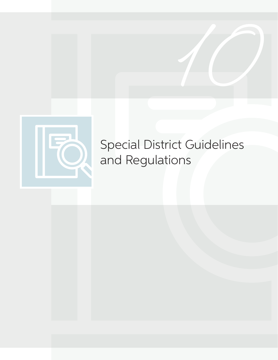

# Special District Guidelines and Regulations

**10**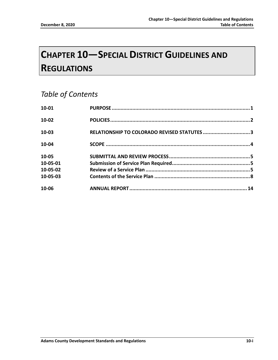## **CHAPTER 10—SPECIAL DISTRICT GUIDELINES AND REGULATIONS**

## *Table of Contents*

| 10-01            |                                             |  |
|------------------|---------------------------------------------|--|
| $10-02$<br>10-03 | RELATIONSHIP TO COLORADO REVISED STATUTES 3 |  |
|                  |                                             |  |
| 10-05            |                                             |  |
| 10-05-01         |                                             |  |
| 10-05-02         |                                             |  |
| 10-05-03         |                                             |  |
| 10-06            |                                             |  |
|                  |                                             |  |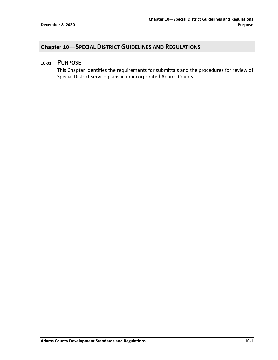### **Chapter 10—SPECIAL DISTRICT GUIDELINES AND REGULATIONS**

#### **10-01 PURPOSE**

This Chapter identifies the requirements for submittals and the procedures for review of Special District service plans in unincorporated Adams County.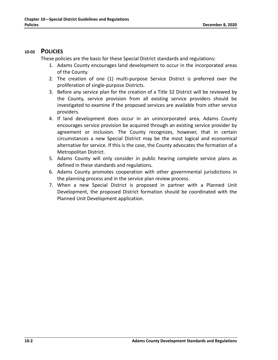#### **10-02 POLICIES**

These policies are the basis for these Special District standards and regulations:

- 1. Adams County encourages land development to occur in the incorporated areas of the County.
- 2. The creation of one (1) multi-purpose Service District is preferred over the proliferation of single-purpose Districts.
- 3. Before any service plan for the creation of a Title 32 District will be reviewed by the County, service provision from all existing service providers should be investigated to examine if the proposed services are available from other service providers.
- 4. If land development does occur in an unincorporated area, Adams County encourages service provision be acquired through an existing service provider by agreement or inclusion. The County recognizes, however, that in certain circumstances a new Special District may be the most logical and economical alternative for service. If this is the case, the County advocates the formation of a Metropolitan District.
- 5. Adams County will only consider in public hearing complete service plans as defined in these standards and regulations.
- 6. Adams County promotes cooperation with other governmental jurisdictions in the planning process and in the service plan review process.
- 7. When a new Special District is proposed in partner with a Planned Unit Development, the proposed District formation should be coordinated with the Planned Unit Development application.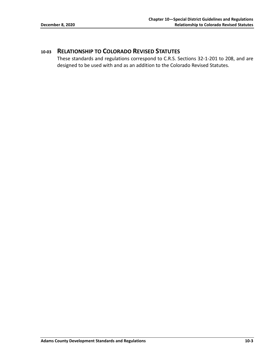### **10-03 RELATIONSHIP TO COLORADO REVISED STATUTES**

These standards and regulations correspond to C.R.S. Sections 32-1-201 to 208, and are designed to be used with and as an addition to the Colorado Revised Statutes.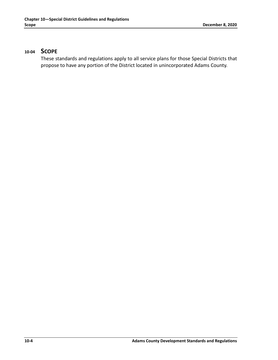#### **10-04 SCOPE**

These standards and regulations apply to all service plans for those Special Districts that propose to have any portion of the District located in unincorporated Adams County.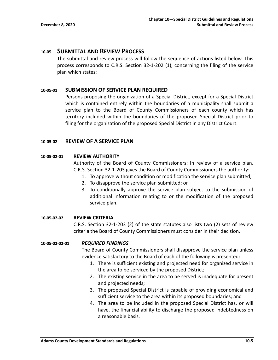#### **10-05 SUBMITTAL AND REVIEW PROCESS**

The submittal and review process will follow the sequence of actions listed below. This process corresponds to C.R.S. Section 32-1-202 (1), concerning the filing of the service plan which states:

#### **10-05-01 SUBMISSION OF SERVICE PLAN REQUIRED**

Persons proposing the organization of a Special District, except for a Special District which is contained entirely within the boundaries of a municipality shall submit a service plan to the Board of County Commissioners of each county which has territory included within the boundaries of the proposed Special District prior to filing for the organization of the proposed Special District in any District Court.

#### **10-05-02 REVIEW OF A SERVICE PLAN**

#### **10-05-02-01 REVIEW AUTHORITY**

Authority of the Board of County Commissioners: In review of a service plan, C.R.S. Section 32-1-203 gives the Board of County Commissioners the authority:

- 1. To approve without condition or modification the service plan submitted;
- 2. To disapprove the service plan submitted; or
- 3. To conditionally approve the service plan subject to the submission of additional information relating to or the modification of the proposed service plan.

#### **10-05-02-02 REVIEW CRITERIA**

C.R.S. Section 32-1-203 (2) of the state statutes also lists two (2) sets of review criteria the Board of County Commissioners must consider in their decision.

#### **10-05-02-02-01** *REQUIRED FINDINGS*

The Board of County Commissioners shall disapprove the service plan unless evidence satisfactory to the Board of each of the following is presented:

- 1. There is sufficient existing and projected need for organized service in the area to be serviced by the proposed District;
- 2. The existing service in the area to be served is inadequate for present and projected needs;
- 3. The proposed Special District is capable of providing economical and sufficient service to the area within its proposed boundaries; and
- 4. The area to be included in the proposed Special District has, or will have, the financial ability to discharge the proposed indebtedness on a reasonable basis.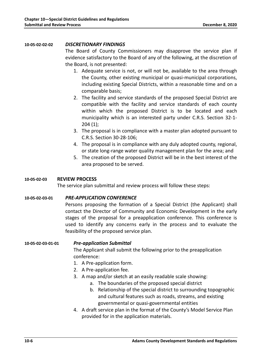#### **10-05-02-02-02** *DISCRETIONARY FINDINGS*

The Board of County Commissioners may disapprove the service plan if evidence satisfactory to the Board of any of the following, at the discretion of the Board, is not presented:

- 1. Adequate service is not, or will not be, available to the area through the County, other existing municipal or quasi-municipal corporations, including existing Special Districts, within a reasonable time and on a comparable basis;
- 2. The facility and service standards of the proposed Special District are compatible with the facility and service standards of each county within which the proposed District is to be located and each municipality which is an interested party under C.R.S. Section 32-1- 204 (1);
- 3. The proposal is in compliance with a master plan adopted pursuant to C.R.S. Section 30-28-106;
- 4. The proposal is in compliance with any duly adopted county, regional, or state long-range water quality management plan for the area; and
- 5. The creation of the proposed District will be in the best interest of the area proposed to be served.

#### **10-05-02-03 REVIEW PROCESS**

The service plan submittal and review process will follow these steps:

#### **10-05-02-03-01** *PRE-APPLICATION CONFERENCE*

Persons proposing the formation of a Special District (the Applicant) shall contact the Director of Community and Economic Development in the early stages of the proposal for a preapplication conference. This conference is used to identify any concerns early in the process and to evaluate the feasibility of the proposed service plan.

**10-05-02-03-01-01** *Pre-application Submittal*

The Applicant shall submit the following prior to the preapplication conference:

- 1. A Pre-application form.
- 2. A Pre-application fee.
- 3. A map and/or sketch at an easily readable scale showing:
	- a. The boundaries of the proposed special district
	- b. Relationship of the special district to surrounding topographic and cultural features such as roads, streams, and existing governmental or quasi-governmental entities
- 4. A draft service plan in the format of the County's Model Service Plan provided for in the application materials.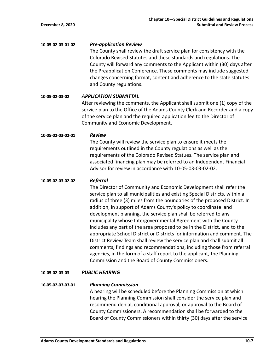**10-05-02-03-01-02** *Pre-application Review*

The County shall review the draft service plan for consistency with the Colorado Revised Statutes and these standards and regulations. The County will forward any comments to the Applicant within (30) days after the Preapplication Conference. These comments may include suggested changes concerning format, content and adherence to the state statutes and County regulations.

**10-05-02-03-02** *APPLICATION SUBMITTAL*

After reviewing the comments, the Applicant shall submit one (1) copy of the service plan to the Office of the Adams County Clerk and Recorder and a copy of the service plan and the required application fee to the Director of Community and Economic Development.

**10-05-02-03-02-01** *Review*

The County will review the service plan to ensure it meets the requirements outlined in the County regulations as well as the requirements of the Colorado Revised Statues. The service plan and associated financing plan may be referred to an Independent Financial Advisor for review in accordance with 10-05-03-03-02-02.

#### **10-05-02-03-02-02** *Referral*

The Director of Community and Economic Development shall refer the service plan to all municipalities and existing Special Districts, within a radius of three (3) miles from the boundaries of the proposed District. In addition, in support of Adams County's policy to coordinate land development planning, the service plan shall be referred to any municipality whose Intergovernmental Agreement with the County includes any part of the area proposed to be in the District, and to the appropriate School District or Districts for information and comment. The District Review Team shall review the service plan and shall submit all comments, findings and recommendations, including those from referral agencies, in the form of a staff report to the applicant, the Planning Commission and the Board of County Commissioners.

**10-05-02-03-03** *PUBLIC HEARING*

**10-05-02-03-03-01** *Planning Commission*

A hearing will be scheduled before the Planning Commission at which hearing the Planning Commission shall consider the service plan and recommend denial, conditional approval, or approval to the Board of County Commissioners. A recommendation shall be forwarded to the Board of County Commissioners within thirty (30) days after the service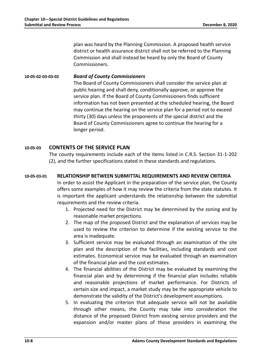plan was heard by the Planning Commission. A proposed health service district or health assurance district shall not be referred to the Planning Commission and shall instead be heard by only the Board of County Commissioners.

#### **10-05-02-03-03-02** *Board of County Commissioners*

The Board of County Commissioners shall consider the service plan at public hearing and shall deny, conditionally approve, or approve the service plan. If the Board of County Commissioners finds sufficient information has not been presented at the scheduled hearing, the Board may continue the hearing on the service plan for a period not to exceed thirty (30) days unless the proponents of the special district and the Board of County Commissioners agree to continue the hearing for a longer period.

#### **10-05-03 CONTENTS OF THE SERVICE PLAN**

The county requirements include each of the items listed in C.R.S. Section 31-1-202 (2), and the further specifications stated in these standards and regulations.

#### **10-05-03-01 RELATIONSHIP BETWEEN SUBMITTAL REQUIREMENTS AND REVIEW CRITERIA**

In order to assist the Applicant in the preparation of the service plan, the County offers some examples of how it may review the criteria from the state statutes. It is important the applicant understands the relationship between the submittal requirements and the review criteria.

- 1. Projected need for the District may be determined by the zoning and by reasonable market projections.
- 2. The map of the proposed District and the explanation of services may be used to review the criterion to determine if the existing service to the area is inadequate.
- 3. Sufficient service may be evaluated through an examination of the site plan and the description of the facilities, including standards and cost estimates. Economical service may be evaluated through an examination of the financial plan and the cost estimates.
- 4. The financial abilities of the District may be evaluated by examining the financial plan and by determining if the financial plan includes reliable and reasonable projections of market performance. For Districts of certain size and impact, a market study may be the appropriate vehicle to demonstrate the validity of the District's development assumptions.
- 5. In evaluating the criterion that adequate service will not be available through other means, the County may take into consideration the distance of the proposed District from existing service providers and the expansion and/or master plans of those providers in examining the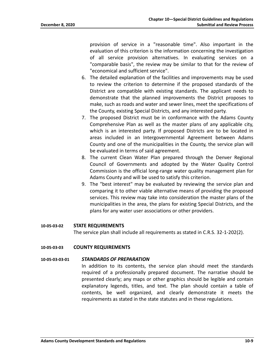provision of service in a "reasonable time". Also important in the evaluation of this criterion is the information concerning the investigation of all service provision alternatives. In evaluating services on a "comparable basis", the review may be similar to that for the review of "economical and sufficient service".

- 6. The detailed explanation of the facilities and improvements may be used to review the criterion to determine if the proposed standards of the District are compatible with existing standards. The applicant needs to demonstrate that the planned improvements the District proposes to make, such as roads and water and sewer lines, meet the specifications of the County, existing Special Districts, and any interested party.
- 7. The proposed District must be in conformance with the Adams County Comprehensive Plan as well as the master plans of any applicable city, which is an interested party. If proposed Districts are to be located in areas included in an Intergovernmental Agreement between Adams County and one of the municipalities in the County, the service plan will be evaluated in terms of said agreement.
- 8. The current Clean Water Plan prepared through the Denver Regional Council of Governments and adopted by the Water Quality Control Commission is the official long-range water quality management plan for Adams County and will be used to satisfy this criterion.
- 9. The "best interest" may be evaluated by reviewing the service plan and comparing it to other viable alternative means of providing the proposed services. This review may take into consideration the master plans of the municipalities in the area, the plans for existing Special Districts, and the plans for any water user associations or other providers.

#### **10-05-03-02 STATE REQUIREMENTS**

The service plan shall include all requirements as stated in C.R.S. 32-1-202(2).

#### **10-05-03-03 COUNTY REQUIREMENTS**

#### **10-05-03-03-01** *STANDARDS OF PREPARATION*

In addition to its contents, the service plan should meet the standards required of a professionally prepared document. The narrative should be presented clearly; any maps or other graphics should be legible and contain explanatory legends, titles, and text. The plan should contain a table of contents, be well organized, and clearly demonstrate it meets the requirements as stated in the state statutes and in these regulations.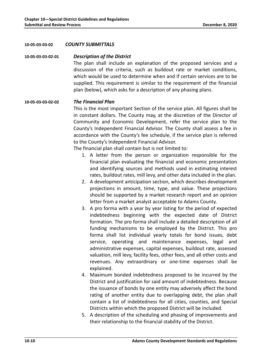#### **10-05-03-03-02** *COUNTY SUBMITTALS*

#### **10-05-03-03-02-01** *Description of the District*

The plan shall include an explanation of the proposed services and a discussion of the criteria, such as buildout rate or market conditions, which would be used to determine when and if certain services are to be supplied. This requirement is similar to the requirement of the financial plan (below), which asks for a description of any phasing plans.

#### **10-05-03-03-02-02** *The Financial Plan*

This is the most important Section of the service plan. All figures shall be in constant dollars. The County may, at the discretion of the Director of Community and Economic Development, refer the service plan to the County's Independent Financial Advisor. The County shall assess a fee in accordance with the County's fee schedule, if the service plan is referred to the County's Independent Financial Advisor.

The financial plan shall contain but is not limited to:

- 1. A letter from the person or organization responsible for the financial plan evaluating the financial and economic presentation and identifying sources and methods used in estimating interest rates, buildout rates, mill levy, and other data included in the plan.
- 2. A development anticipation section, which describes development projections in amount, time, type, and value. These projections should be supported by a market research report and an opinion letter from a market analyst acceptable to Adams County.
- 3. A pro forma with a year by year listing for the period of expected indebtedness beginning with the expected date of District formation. The pro forma shall include a detailed description of all funding mechanisms to be employed by the District. This pro forma shall list individual yearly totals for bond issues, debt service, operating and maintenance expenses, legal and administrative expenses, capital expenses, buildout rate, assessed valuation, mill levy, facility fees, other fees, and all other costs and revenues. Any extraordinary or one-time expenses shall be explained.
- 4. Maximum bonded indebtedness proposed to be incurred by the District and justification for said amount of indebtedness. Because the issuance of bonds by one entity may adversely affect the bond rating of another entity due to overlapping debt, the plan shall contain a list of indebtedness for all cities, counties, and Special Districts within which the proposed District will be included.
- 5. A description of the scheduling and phasing of improvements and their relationship to the financial stability of the District.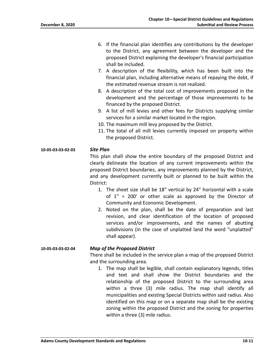- 6. If the financial plan identifies any contributions by the developer to the District, any agreement between the developer and the proposed District explaining the developer's financial participation shall be included.
- 7. A description of the flexibility, which has been built into the financial plan, including alternative means of repaying the debt, if the estimated revenue stream is not realized.
- 8. A description of the total cost of improvements proposed in the development and the percentage of those improvements to be financed by the proposed District.
- 9. A list of mill levies and other fees for Districts supplying similar services for a similar market located in the region.
- 10. The maximum mill levy proposed by the District.
- 11. The total of all mill levies currently imposed on property within the proposed District.

#### **10-05-03-03-02-03** *Site Plan*

This plan shall show the entire boundary of the proposed District and clearly delineate the location of any current improvements within the proposed District boundaries, any improvements planned by the District, and any development currently built or planned to be built within the District:

- 1. The sheet size shall be 18" vertical by 24" horizontal with a scale of 1" = 200' or other scale as approved by the Director of Community and Economic Development.
- 2. Noted on the plan, shall be the date of preparation and last revision, and clear identification of the location of proposed services and/or improvements, and the names of abutting subdivisions (in the case of unplatted land the word "unplatted" shall appear).

#### **10-05-03-03-02-04** *Map of the Proposed District*

There shall be included in the service plan a map of the proposed District and the surrounding area.

1. The map shall be legible, shall contain explanatory legends, titles and text and shall show the District boundaries and the relationship of the proposed District to the surrounding area within a three (3) mile radius. The map shall identify all municipalities and existing Special Districts within said radius. Also identified on this map or on a separate map shall be the existing zoning within the proposed District and the zoning for properties within a three (3) mile radius.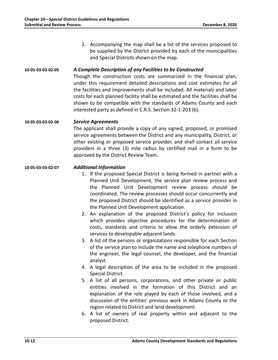2. Accompanying the map shall be a list of the services proposed to be supplied by the District provided by each of the municipalities and Special Districts shown on the map.

#### **10-05-03-03-02-05** *A Complete Description of any Facilities to be Constructed*

Though the construction costs are summarized in the financial plan, under this requirement detailed descriptions and cost estimates for all the facilities and improvements shall be included. All materials and labor costs for each planned facility shall be estimated and the facilities shall be shown to be compatible with the standards of Adams County and each interested party as defined in C.R.S. Section 32-1-203 (b).

#### **10-05-03-03-02-06** *Service Agreements*

The applicant shall provide a copy of any signed, proposed, or promised service agreements between the District and any municipality, District, or other existing or proposed service provider, and shall contact all service providers in a three (3) mile radius by certified mail in a form to be approved by the District Review Team.

#### **10-05-03-03-02-07** *Additional Information*

- 1. If the proposed Special District is being formed in partner with a Planned Unit Development, the service plan review process and the Planned Unit Development review process should be coordinated. The review processes should occur concurrently and the proposed District should be identified as a service provider in the Planned Unit Development application.
- 2. An explanation of the proposed District's policy for inclusion which provides objective procedures for the determination of costs, standards and criteria to allow the orderly extension of services to developable adjacent lands.
- 3. A list of the persons or organizations responsible for each Section of the service plan to include the name and telephone numbers of the engineer, the legal counsel, the developer, and the financial analyst.
- 4. A legal description of the area to be included in the proposed Special District.
- 5. A list of all persons, corporations, and other private or public entities involved in the formation of this District and an explanation of the role played by each of those involved, and a discussion of the entities' previous work in Adams County or the region related to District and land development.
- 6. A list of owners of real property within and adjacent to the proposed District.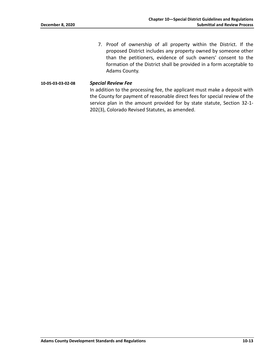7. Proof of ownership of all property within the District. If the proposed District includes any property owned by someone other than the petitioners, evidence of such owners' consent to the formation of the District shall be provided in a form acceptable to Adams County.

#### **10-05-03-03-02-08** *Special Review Fee*

In addition to the processing fee, the applicant must make a deposit with the County for payment of reasonable direct fees for special review of the service plan in the amount provided for by state statute, Section 32-1- 202(3), Colorado Revised Statutes, as amended.